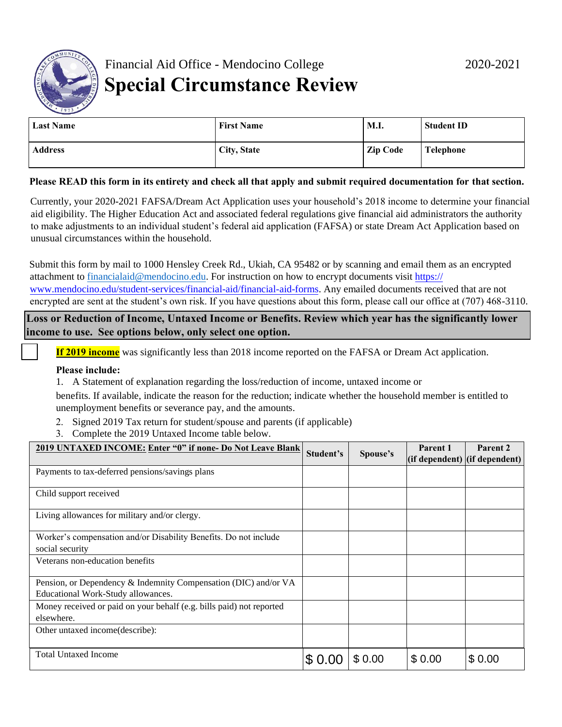$$0.00$   $$0.00$  $$0.00$  $$0.00$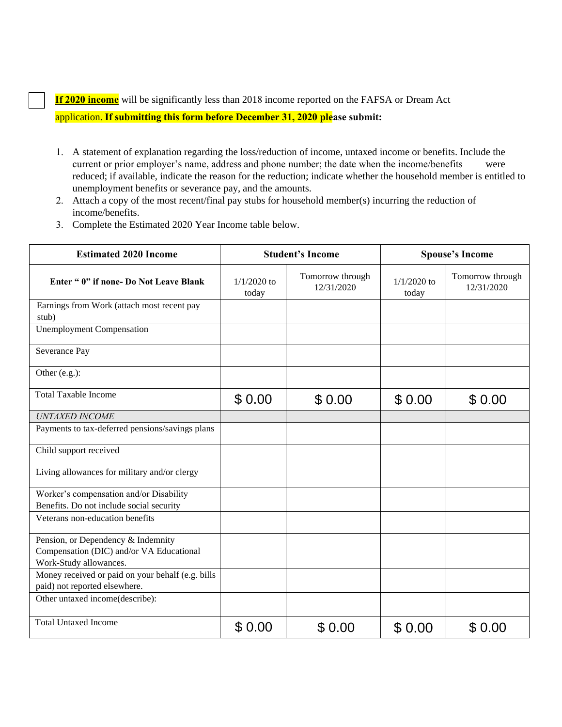**If 202 income** will be significantly less than 2019 income reported on the FAFSA or Dream Act

application. **If submitting this form before December 31, 2021 please submit:** 

- 1. A statement of explanation regarding the loss/reduction of income, untaxed income or benefits. Include the current or prior employer's name, address and phone number; the date when the income/benefits were reduced; if available, indicate the reason for the reduction; indicate whether the household member is entitled to unemployment benefits or severance pay, and the amounts.
- 2. Attach a copy of the most recent/final pay stubs for household member(s) incurring the reduction of income/benefits.
- 3. Complete the Estimated 2021 Year Income table below.

| <b>Estimated 2021 Income</b>                                                       | <b>Student's Income</b> |                                | <b>Spouse's Income</b> |                                |  |
|------------------------------------------------------------------------------------|-------------------------|--------------------------------|------------------------|--------------------------------|--|
| Enter " 0" if none- Do Not Leave Blank                                             | $1/1/2021$ to<br>today  | Tomorrow through<br>12/31/2021 | $1/1/2021$ to<br>today | Tomorrow through<br>12/31/2021 |  |
| Earnings from Work (attach most recent pay<br>stub)                                |                         |                                |                        |                                |  |
| <b>Unemployment Compensation</b>                                                   |                         |                                |                        |                                |  |
| Severance Pay                                                                      |                         |                                |                        |                                |  |
| Other (e.g.):                                                                      |                         |                                |                        |                                |  |
| <b>Total Taxable Income</b>                                                        | \$0.00                  | \$0.00                         | \$0.00                 | \$0.00                         |  |
| <b>UNTAXED INCOME</b>                                                              |                         |                                |                        |                                |  |
| Payments to tax-deferred pensions/savings plans                                    |                         |                                |                        |                                |  |
| Child support received                                                             |                         |                                |                        |                                |  |
| Living allowances for military and/or clergy                                       |                         |                                |                        |                                |  |
| Worker's compensation and/or Disability                                            |                         |                                |                        |                                |  |
| Benefits. Do not include social security                                           |                         |                                |                        |                                |  |
| Veterans non-education benefits                                                    |                         |                                |                        |                                |  |
| Pension, or Dependency & Indemnity                                                 |                         |                                |                        |                                |  |
| Compensation (DIC) and/or VA Educational                                           |                         |                                |                        |                                |  |
| Work-Study allowances.                                                             |                         |                                |                        |                                |  |
| Money received or paid on your behalf (e.g. bills<br>paid) not reported elsewhere. |                         |                                |                        |                                |  |
| Other untaxed income(describe):                                                    |                         |                                |                        |                                |  |
| <b>Total Untaxed Income</b>                                                        | \$0.00                  | \$0.00                         | \$0.00                 | \$0.00                         |  |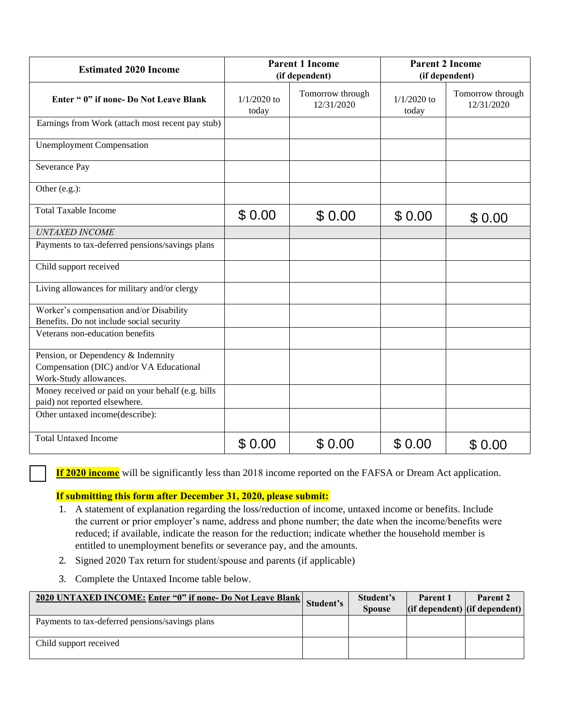| <b>Estimated 2021 Income</b>                                                       | <b>Parent 1 Income</b><br>(if dependent) |                                |                        | <b>Parent 2 Income</b><br>(if dependent) |
|------------------------------------------------------------------------------------|------------------------------------------|--------------------------------|------------------------|------------------------------------------|
| Enter " 0" if none- Do Not Leave Blank                                             | $1/1/2021$ to<br>today                   | Tomorrow through<br>12/31/2021 | $1/1/2021$ to<br>today | Tomorrow through<br>12/31/2021           |
| Earnings from Work (attach most recent pay stub)                                   |                                          |                                |                        |                                          |
| <b>Unemployment Compensation</b>                                                   |                                          |                                |                        |                                          |
| Severance Pay                                                                      |                                          |                                |                        |                                          |
| Other (e.g.):                                                                      |                                          |                                |                        |                                          |
| <b>Total Taxable Income</b>                                                        | \$0.00                                   | \$0.00                         | \$0.00                 | \$0.00                                   |
| <b>UNTAXED INCOME</b>                                                              |                                          |                                |                        |                                          |
| Payments to tax-deferred pensions/savings plans                                    |                                          |                                |                        |                                          |
| Child support received                                                             |                                          |                                |                        |                                          |
| Living allowances for military and/or clergy                                       |                                          |                                |                        |                                          |
| Worker's compensation and/or Disability                                            |                                          |                                |                        |                                          |
| Benefits. Do not include social security                                           |                                          |                                |                        |                                          |
| Veterans non-education benefits                                                    |                                          |                                |                        |                                          |
| Pension, or Dependency & Indemnity                                                 |                                          |                                |                        |                                          |
| Compensation (DIC) and/or VA Educational                                           |                                          |                                |                        |                                          |
| Work-Study allowances.                                                             |                                          |                                |                        |                                          |
| Money received or paid on your behalf (e.g. bills<br>paid) not reported elsewhere. |                                          |                                |                        |                                          |
| Other untaxed income(describe):                                                    |                                          |                                |                        |                                          |
| <b>Total Untaxed Income</b>                                                        | \$0.00                                   | \$0.00                         | \$0.00                 | \$0.00                                   |

**If 2021 income** will be significantly less than 2019 income reported on the FAFSA or Dream Act application.

## **If submitting this form after December 31, 2021 please submit:**

- 1. A statement of explanation regarding the loss/reduction of income, untaxed income or benefits. Include the current or prior employer's name, address and phone number; the date when the income/benefits were reduced; if available, indicate the reason for the reduction; indicate whether the household member is entitled to unemployment benefits or severance pay, and the amounts.
- 2. Signed 2021 Tax return for student/spouse and parents (if applicable)
- 3. Complete the Untaxed Income table below.

| <b>2021 UNTAXED INCOME: Enter "0" if none- Do Not Leave Blank</b> | Student's | Student's     | Parent 1 | Parent 2                                                        |
|-------------------------------------------------------------------|-----------|---------------|----------|-----------------------------------------------------------------|
|                                                                   |           | <b>Spouse</b> |          | $\left  \right $ (if dependent) $\left  \right $ (if dependent) |
| Payments to tax-deferred pensions/savings plans                   |           |               |          |                                                                 |
| Child support received                                            |           |               |          |                                                                 |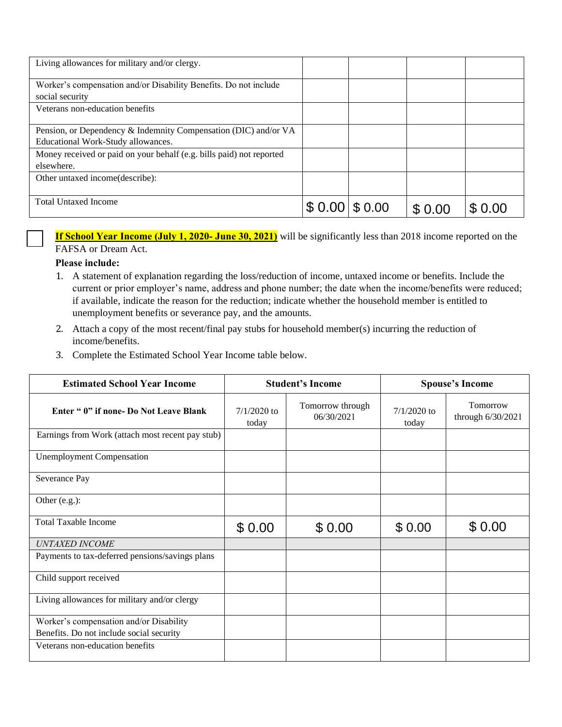| Living allowances for military and/or clergy.                                                         |        |        |        |
|-------------------------------------------------------------------------------------------------------|--------|--------|--------|
| Worker's compensation and/or Disability Benefits. Do not include<br>social security                   |        |        |        |
| Veterans non-education benefits                                                                       |        |        |        |
| Pension, or Dependency & Indemnity Compensation (DIC) and/or VA<br>Educational Work-Study allowances. |        |        |        |
| Money received or paid on your behalf (e.g. bills paid) not reported<br>elsewhere.                    |        |        |        |
| Other untaxed income (describe):                                                                      |        |        |        |
| <b>Total Untaxed Income</b>                                                                           | \$0.00 | \$0.00 | \$0.00 |

## **Please include:**

- 1. A statement of explanation regarding the loss/reduction of income, untaxed income or benefits. Include the current or prior employer's name, address and phone number; the date when the income/benefits were reduced; if available, indicate the reason for the reduction; indicate whether the household member is entitled to unemployment benefits or severance pay, and the amounts.
- 2. Attach a copy of the most recent/final pay stubs for household member(s) incurring the reduction of income/benefits.
- 3. Complete the Estimated School Year Income table below.

| токат слиахей пісопіе                                                                                                                                                                                                                                                                                                                                                                                                    |                        | $$0.00 \, \$0.00$              | \$0.00                 | \$0.00                        |
|--------------------------------------------------------------------------------------------------------------------------------------------------------------------------------------------------------------------------------------------------------------------------------------------------------------------------------------------------------------------------------------------------------------------------|------------------------|--------------------------------|------------------------|-------------------------------|
| <b>If School Year Income (July 1, 2021- June 30, 2022)</b> will be significantly less than 2019 income reported on the                                                                                                                                                                                                                                                                                                   |                        |                                |                        |                               |
| FAFSA or Dream Act.                                                                                                                                                                                                                                                                                                                                                                                                      |                        |                                |                        |                               |
| Please include:<br>1. A statement of explanation regarding the loss/reduction of income, untaxed income or benefits. Include the<br>current or prior employer's name, address and phone number; the date when the income/benefits were reduced;<br>if available, indicate the reason for the reduction; indicate whether the household member is entitled to<br>unemployment benefits or severance pay, and the amounts. |                        |                                |                        |                               |
| Attach a copy of the most recent/final pay stubs for household member(s) incurring the reduction of<br>2.<br>income/benefits.<br>Complete the Estimated School Year Income table below.<br>3.                                                                                                                                                                                                                            |                        |                                |                        |                               |
| <b>Estimated School Year Income</b>                                                                                                                                                                                                                                                                                                                                                                                      |                        | <b>Student's Income</b>        | <b>Spouse's Income</b> |                               |
| Enter " 0" if none- Do Not Leave Blank                                                                                                                                                                                                                                                                                                                                                                                   | $7/1/2021$ to<br>today | Tomorrow through<br>06/30/2022 | $7/1/2021$ to<br>today | Tomorrow<br>through 6/30/2022 |
| Earnings from Work (attach most recent pay stub)                                                                                                                                                                                                                                                                                                                                                                         |                        |                                |                        |                               |
| <b>Unemployment Compensation</b>                                                                                                                                                                                                                                                                                                                                                                                         |                        |                                |                        |                               |
| Severance Pay                                                                                                                                                                                                                                                                                                                                                                                                            |                        |                                |                        |                               |
| Other (e.g.):                                                                                                                                                                                                                                                                                                                                                                                                            |                        |                                |                        |                               |
| <b>Total Taxable Income</b>                                                                                                                                                                                                                                                                                                                                                                                              | \$0.00                 | \$0.00                         | \$0.00                 | \$0.00                        |
| <b>UNTAXED INCOME</b>                                                                                                                                                                                                                                                                                                                                                                                                    |                        |                                |                        |                               |
| Payments to tax-deferred pensions/savings plans                                                                                                                                                                                                                                                                                                                                                                          |                        |                                |                        |                               |
| Child support received                                                                                                                                                                                                                                                                                                                                                                                                   |                        |                                |                        |                               |
| Living allowances for military and/or clergy                                                                                                                                                                                                                                                                                                                                                                             |                        |                                |                        |                               |
| Worker's compensation and/or Disability<br>Benefits. Do not include social security                                                                                                                                                                                                                                                                                                                                      |                        |                                |                        |                               |
| Veterans non-education benefits                                                                                                                                                                                                                                                                                                                                                                                          |                        |                                |                        |                               |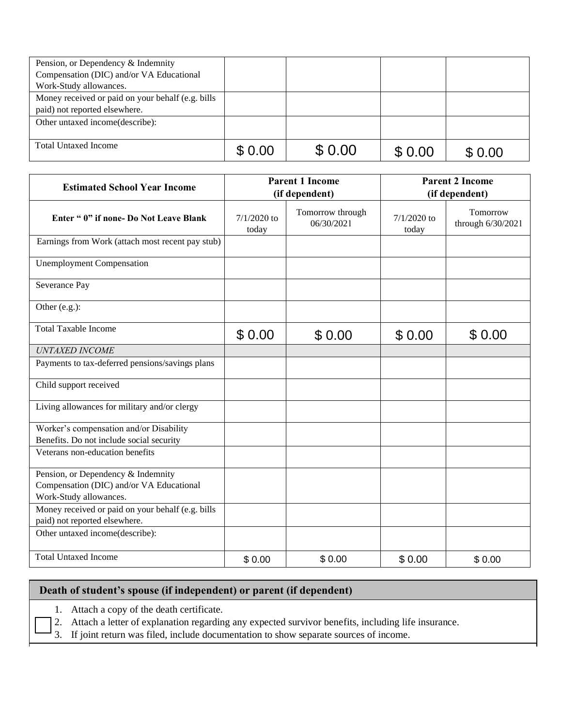| Pension, or Dependency & Indemnity                |        |        |        |        |
|---------------------------------------------------|--------|--------|--------|--------|
| Compensation (DIC) and/or VA Educational          |        |        |        |        |
| Work-Study allowances.                            |        |        |        |        |
| Money received or paid on your behalf (e.g. bills |        |        |        |        |
| paid) not reported elsewhere.                     |        |        |        |        |
| Other untaxed income (describe):                  |        |        |        |        |
|                                                   |        |        |        |        |
| <b>Total Untaxed Income</b>                       | \$0.00 | \$0.00 | \$0.00 | \$0.00 |

| Total Untaxed Income                                                                                     | \$0.00                                   | \$0.00                         | \$0.00                 | \$0.00                                   |
|----------------------------------------------------------------------------------------------------------|------------------------------------------|--------------------------------|------------------------|------------------------------------------|
| <b>Estimated School Year Income</b>                                                                      | <b>Parent 1 Income</b><br>(if dependent) |                                |                        | <b>Parent 2 Income</b><br>(if dependent) |
| Enter " 0" if none- Do Not Leave Blank                                                                   | $7/1/2021$ to<br>today                   | Tomorrow through<br>06/30/2022 | $7/1/2021$ to<br>today | Tomorrow<br>through 6/30/2022            |
| Earnings from Work (attach most recent pay stub)                                                         |                                          |                                |                        |                                          |
| <b>Unemployment Compensation</b>                                                                         |                                          |                                |                        |                                          |
| Severance Pay                                                                                            |                                          |                                |                        |                                          |
| Other (e.g.):                                                                                            |                                          |                                |                        |                                          |
| <b>Total Taxable Income</b>                                                                              | \$0.00                                   | \$0.00                         | \$0.00                 | \$0.00                                   |
| UNTAXED INCOME                                                                                           |                                          |                                |                        |                                          |
| Payments to tax-deferred pensions/savings plans                                                          |                                          |                                |                        |                                          |
| Child support received                                                                                   |                                          |                                |                        |                                          |
| Living allowances for military and/or clergy                                                             |                                          |                                |                        |                                          |
| Worker's compensation and/or Disability<br>Benefits. Do not include social security                      |                                          |                                |                        |                                          |
| Veterans non-education benefits                                                                          |                                          |                                |                        |                                          |
| Pension, or Dependency & Indemnity<br>Compensation (DIC) and/or VA Educational<br>Work-Study allowances. |                                          |                                |                        |                                          |
| Money received or paid on your behalf (e.g. bills<br>paid) not reported elsewhere.                       |                                          |                                |                        |                                          |
| Other untaxed income(describe):                                                                          |                                          |                                |                        |                                          |
| <b>Total Untaxed Income</b>                                                                              | \$0.00                                   | \$0.00                         | \$0.00                 | \$0.00                                   |

## **Death of student's spouse (if independent) or parent (if dependent)**

1. Attach a copy of the death certificate.

2. Attach a letter of explanation regarding any expected survivor benefits, including life insurance.

3. If joint return was filed, include documentation to show separate sources of income.